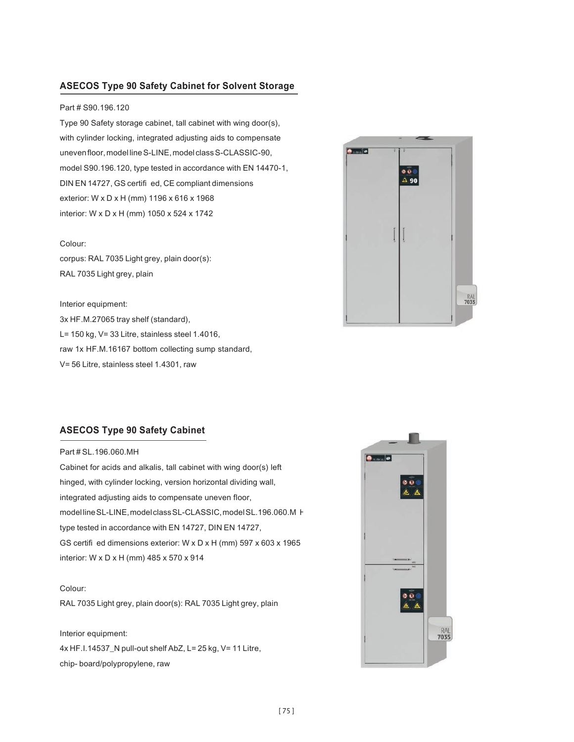# **ASECOS Type 90 Safety Cabinet for Solvent Storage**

## Part # S90.196.120

Type 90 Safety storage cabinet, tall cabinet with wing door(s), with cylinder locking, integrated adjusting aids to compensate uneven floor, model line S-LINE, model class S-CLASSIC-90, model S90.196.120, type tested in accordance with EN 14470-1, DIN EN 14727, GS certifi ed, CE compliant dimensions exterior: W x D x H (mm) 1196 x 616 x 1968 interior: W x D x H (mm) 1050 x 524 x 1742

#### Colour:

corpus: RAL 7035 Light grey, plain door(s): RAL 7035 Light grey, plain

Interior equipment: 3x HF.M.27065 tray shelf (standard), L= 150 kg, V= 33 Litre, stainless steel 1.4016, raw 1x HF.M.16167 bottom collecting sump standard, V= 56 Litre, stainless steel 1.4301, raw



## **ASECOS Type 90 Safety Cabinet**

Part # SL.196.060.MH

model line SL-LINE, model class SL-CLASSIC, model SL.196.060.M F Cabinet for acids and alkalis, tall cabinet with wing door(s) left hinged, with cylinder locking, version horizontal dividing wall, integrated adjusting aids to compensate uneven floor, type tested in accordance with EN 14727, DIN EN 14727, GS certifi ed dimensions exterior: W x D x H (mm) 597 x 603 x 1965 interior: W x D x H (mm) 485 x 570 x 914

### Colour:

RAL 7035 Light grey, plain door(s): RAL 7035 Light grey, plain

Interior equipment: 4x HF.I.14537\_N pull-out shelf AbZ, L= 25 kg, V= 11 Litre, chip- board/polypropylene, raw